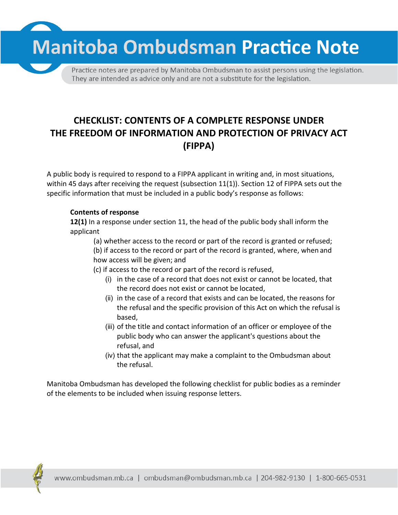**Manitoba Ombudsman Practice Note** 

Practice notes are prepared by Manitoba Ombudsman to assist persons using the legislation. They are intended as advice only and are not a substitute for the legislation.

# **CHECKLIST: CONTENTS OF A COMPLETE RESPONSE UNDER THE FREEDOM OF INFORMATION AND PROTECTION OF PRIVACY ACT (FIPPA)**

A public body is required to respond to a FIPPA applicant in writing and, in most situations, within 45 days after receiving the request (subsection 11(1)). Section 12 of FIPPA sets out the specific information that must be included in a public body's response as follows:

### **Contents of response**

**12(1)** In a response under section 11, the head of the public body shall inform the applicant

(a) whether access to the record or part of the record is granted orrefused; (b) if access to the record or part of the record is granted, where, when and how access will be given; and

(c) if access to the record or part of the record isrefused,

- (i) in the case of a record that does not exist or cannot be located, that the record does not exist or cannot be located,
- (ii) in the case of a record that exists and can be located, the reasons for the refusal and the specific provision of this Act on which the refusal is based,
- (iii) of the title and contact information of an officer or employee of the public body who can answer the applicant's questions about the refusal, and
- (iv) that the applicant may make a complaint to the Ombudsman about the refusal.

Manitoba Ombudsman has developed the following checklist for public bodies as a reminder of the elements to be included when issuing response letters.